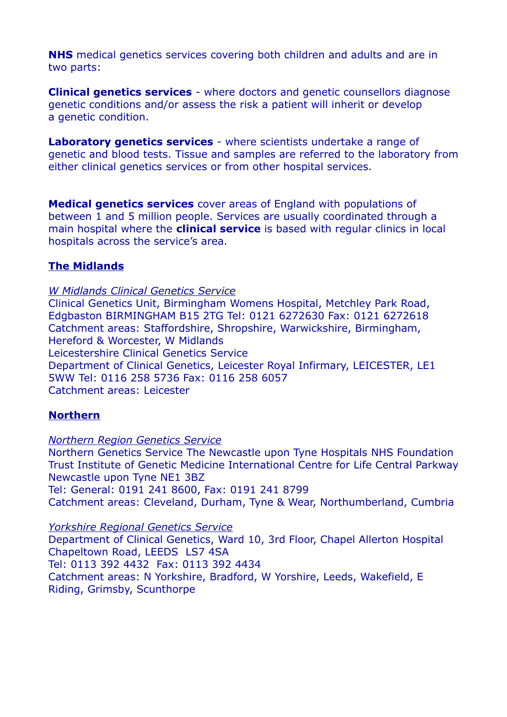**NHS** medical genetics services covering both children and adults and are in two parts:

**Clinical genetics services** - where doctors and genetic counsellors diagnose genetic conditions and/or assess the risk a patient will inherit or develop a genetic condition.

**Laboratory genetics services** - where scientists undertake a range of genetic and blood tests. Tissue and samples are referred to the laboratory from either clinical genetics services or from other hospital services.

**Medical genetics services** cover areas of England with populations of between 1 and 5 million people. Services are usually coordinated through a main hospital where the **clinical service** is based with regular clinics in local hospitals across the service's area.

## **The Midlands**

*W Midlands Clinical Genetics Service*

Clinical Genetics Unit, Birmingham Womens Hospital, Metchley Park Road, Edgbaston BIRMINGHAM B15 2TG Tel: 0121 6272630 Fax: 0121 6272618 Catchment areas: Staffordshire, Shropshire, Warwickshire, Birmingham, Hereford & Worcester, W Midlands Leicestershire Clinical Genetics Service Department of Clinical Genetics, Leicester Royal Infirmary, LEICESTER, LE1 5WW Tel: 0116 258 5736 Fax: 0116 258 6057 Catchment areas: Leicester

## **Northern**

#### *Northern Region Genetics Service*

Northern Genetics Service The Newcastle upon Tyne Hospitals NHS Foundation Trust Institute of Genetic Medicine International Centre for Life Central Parkway Newcastle upon Tyne NE1 3BZ Tel: General: 0191 241 8600, Fax: 0191 241 8799 Catchment areas: Cleveland, Durham, Tyne & Wear, Northumberland, Cumbria

*Yorkshire Regional Genetics Service* Department of Clinical Genetics, Ward 10, 3rd Floor, Chapel Allerton Hospital Chapeltown Road, LEEDS LS7 4SA Tel: 0113 392 4432 Fax: 0113 392 4434

Catchment areas: N Yorkshire, Bradford, W Yorshire, Leeds, Wakefield, E Riding, Grimsby, Scunthorpe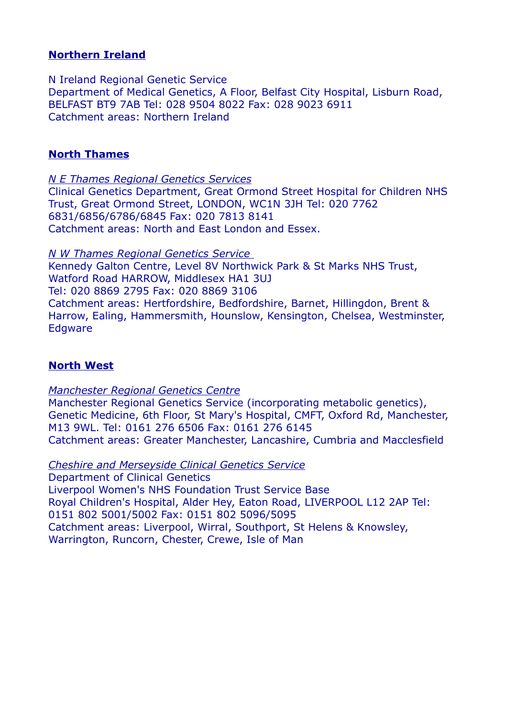### **Northern Ireland**

N Ireland Regional Genetic Service Department of Medical Genetics, A Floor, Belfast City Hospital, Lisburn Road, BELFAST BT9 7AB Tel: 028 9504 8022 Fax: 028 9023 6911 Catchment areas: Northern Ireland

### **North Thames**

*N E Thames Regional Genetics Services*

Clinical Genetics Department, Great Ormond Street Hospital for Children NHS Trust, Great Ormond Street, LONDON, WC1N 3JH Tel: 020 7762 6831/6856/6786/6845 Fax: 020 7813 8141 Catchment areas: North and East London and Essex.

 *N W Thames Regional Genetics Service* Kennedy Galton Centre, Level 8V Northwick Park & St Marks NHS Trust, Watford Road HARROW, Middlesex HA1 3UJ Tel: 020 8869 2795 Fax: 020 8869 3106 Catchment areas: Hertfordshire, Bedfordshire, Barnet, Hillingdon, Brent & Harrow, Ealing, Hammersmith, Hounslow, Kensington, Chelsea, Westminster, Edgware

## **North West**

*Manchester Regional Genetics Centre* Manchester Regional Genetics Service (incorporating metabolic genetics), Genetic Medicine, 6th Floor, St Mary's Hospital, CMFT, Oxford Rd, Manchester, M13 9WL. Tel: 0161 276 6506 Fax: 0161 276 6145 Catchment areas: Greater Manchester, Lancashire, Cumbria and Macclesfield

 *Cheshire and Merseyside Clinical Genetics Service* Department of Clinical Genetics Liverpool Women's NHS Foundation Trust Service Base Royal Children's Hospital, Alder Hey, Eaton Road, LIVERPOOL L12 2AP Tel: 0151 802 5001/5002 Fax: 0151 802 5096/5095 Catchment areas: Liverpool, Wirral, Southport, St Helens & Knowsley, Warrington, Runcorn, Chester, Crewe, Isle of Man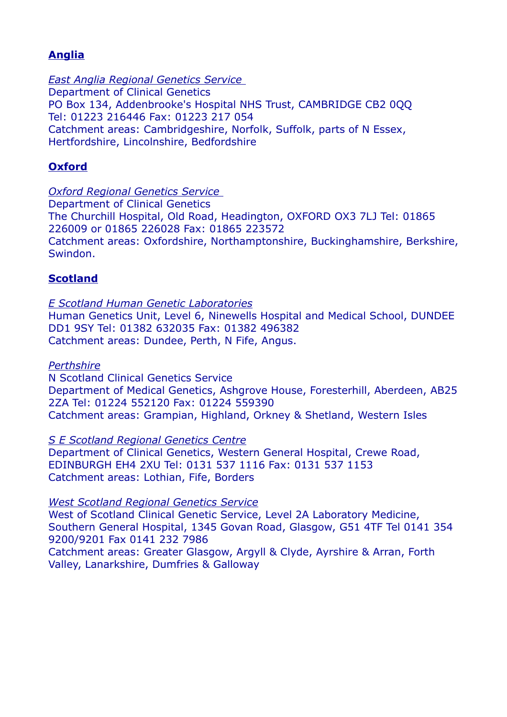# **Anglia**

 *East Anglia Regional Genetics Service* Department of Clinical Genetics PO Box 134, Addenbrooke's Hospital NHS Trust, CAMBRIDGE CB2 0QQ Tel: 01223 216446 Fax: 01223 217 054 Catchment areas: Cambridgeshire, Norfolk, Suffolk, parts of N Essex, Hertfordshire, Lincolnshire, Bedfordshire

# **Oxford**

 *Oxford Regional Genetics Service* Department of Clinical Genetics The Churchill Hospital, Old Road, Headington, OXFORD OX3 7LJ Tel: 01865 226009 or 01865 226028 Fax: 01865 223572 Catchment areas: Oxfordshire, Northamptonshire, Buckinghamshire, Berkshire, Swindon.

## **Scotland**

*E Scotland Human Genetic Laboratories* Human Genetics Unit, Level 6, Ninewells Hospital and Medical School, DUNDEE DD1 9SY Tel: 01382 632035 Fax: 01382 496382 Catchment areas: Dundee, Perth, N Fife, Angus.

#### *Perthshire*

N Scotland Clinical Genetics Service Department of Medical Genetics, Ashgrove House, Foresterhill, Aberdeen, AB25 2ZA Tel: 01224 552120 Fax: 01224 559390 Catchment areas: Grampian, Highland, Orkney & Shetland, Western Isles

*S E Scotland Regional Genetics Centre*

Department of Clinical Genetics, Western General Hospital, Crewe Road, EDINBURGH EH4 2XU Tel: 0131 537 1116 Fax: 0131 537 1153 Catchment areas: Lothian, Fife, Borders

#### *West Scotland Regional Genetics Service*

West of Scotland Clinical Genetic Service, Level 2A Laboratory Medicine, Southern General Hospital, 1345 Govan Road, Glasgow, G51 4TF Tel 0141 354 9200/9201 Fax 0141 232 7986

Catchment areas: Greater Glasgow, Argyll & Clyde, Ayrshire & Arran, Forth Valley, Lanarkshire, Dumfries & Galloway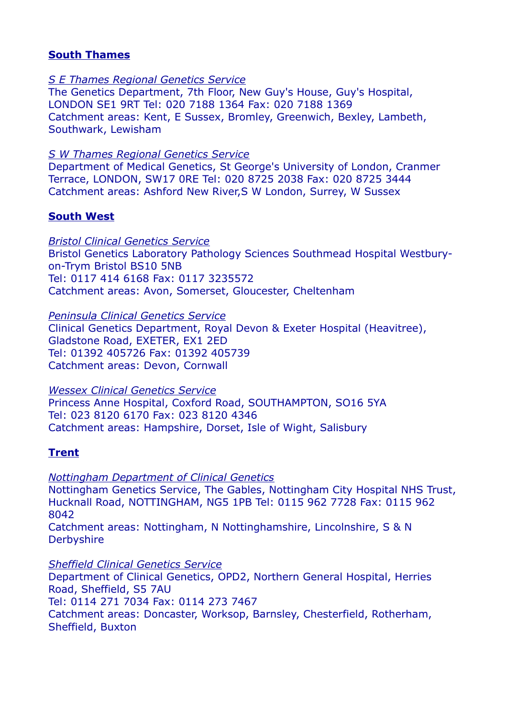### **South Thames**

#### *S E Thames Regional Genetics Service*

The Genetics Department, 7th Floor, New Guy's House, Guy's Hospital, LONDON SE1 9RT Tel: 020 7188 1364 Fax: 020 7188 1369 Catchment areas: Kent, E Sussex, Bromley, Greenwich, Bexley, Lambeth, Southwark, Lewisham

*S W Thames Regional Genetics Service*

Department of Medical Genetics, St George's University of London, Cranmer Terrace, LONDON, SW17 0RE Tel: 020 8725 2038 Fax: 020 8725 3444 Catchment areas: Ashford New River,S W London, Surrey, W Sussex

#### **South West**

*Bristol Clinical Genetics Service* Bristol Genetics Laboratory Pathology Sciences Southmead Hospital Westburyon-Trym Bristol BS10 5NB Tel: 0117 414 6168 Fax: 0117 3235572 Catchment areas: Avon, Somerset, Gloucester, Cheltenham

*Peninsula Clinical Genetics Service*

Clinical Genetics Department, Royal Devon & Exeter Hospital (Heavitree), Gladstone Road, EXETER, EX1 2ED Tel: 01392 405726 Fax: 01392 405739 Catchment areas: Devon, Cornwall

*Wessex Clinical Genetics Service*

Princess Anne Hospital, Coxford Road, SOUTHAMPTON, SO16 5YA Tel: 023 8120 6170 Fax: 023 8120 4346 Catchment areas: Hampshire, Dorset, Isle of Wight, Salisbury

## **Trent**

*Nottingham Department of Clinical Genetics* Nottingham Genetics Service, The Gables, Nottingham City Hospital NHS Trust, Hucknall Road, NOTTINGHAM, NG5 1PB Tel: 0115 962 7728 Fax: 0115 962 8042

Catchment areas: Nottingham, N Nottinghamshire, Lincolnshire, S & N **Derbyshire** 

*Sheffield Clinical Genetics Service* Department of Clinical Genetics, OPD2, Northern General Hospital, Herries Road, Sheffield, S5 7AU Tel: 0114 271 7034 Fax: 0114 273 7467 Catchment areas: Doncaster, Worksop, Barnsley, Chesterfield, Rotherham, Sheffield, Buxton